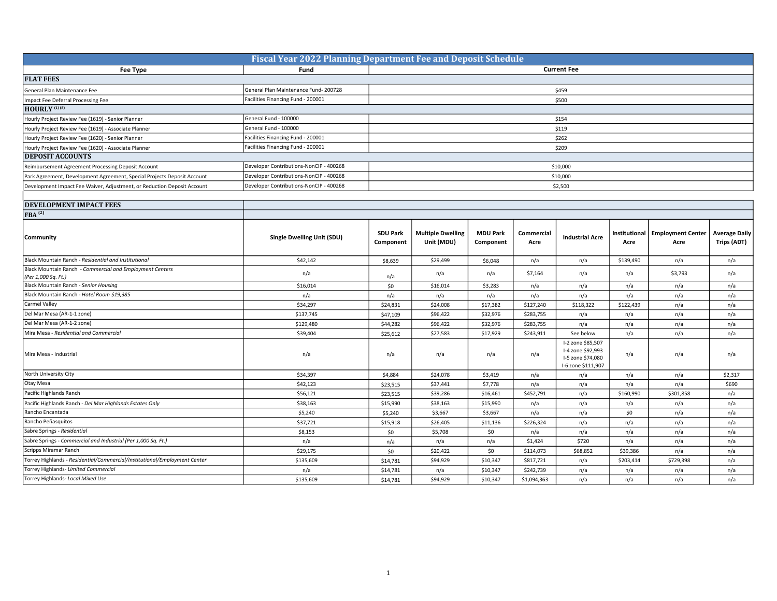| <b>Fiscal Year 2022 Planning Department Fee and Deposit Schedule</b>    |                                         |                    |  |  |  |
|-------------------------------------------------------------------------|-----------------------------------------|--------------------|--|--|--|
| Fee Type                                                                | Fund                                    | <b>Current Fee</b> |  |  |  |
| <b>FLAT FEES</b>                                                        |                                         |                    |  |  |  |
| General Plan Maintenance Fee                                            | General Plan Maintenance Fund-200728    | \$459              |  |  |  |
| Impact Fee Deferral Processing Fee                                      | Facilities Financing Fund - 200001      | \$500              |  |  |  |
| HOURLY <sup>(1)(8)</sup>                                                |                                         |                    |  |  |  |
| Hourly Project Review Fee (1619) - Senior Planner                       | General Fund - 100000                   | \$154              |  |  |  |
| Hourly Project Review Fee (1619) - Associate Planner                    | General Fund - 100000                   | \$119              |  |  |  |
| Hourly Project Review Fee (1620) - Senior Planner                       | Facilities Financing Fund - 200001      | \$262              |  |  |  |
| Hourly Project Review Fee (1620) - Associate Planner                    | Facilities Financing Fund - 200001      | \$209              |  |  |  |
| <b>DEPOSIT ACCOUNTS</b>                                                 |                                         |                    |  |  |  |
| Reimbursement Agreement Processing Deposit Account                      | Developer Contributions-NonCIP - 400268 | \$10,000           |  |  |  |
| Park Agreement, Development Agreement, Special Projects Deposit Account | Developer Contributions-NonCIP - 400268 | \$10,000           |  |  |  |
| Development Impact Fee Waiver, Adjustment, or Reduction Deposit Account | Developer Contributions-NonCIP - 400268 | \$2,500            |  |  |  |

| <b>DEVELOPMENT IMPACT FEES</b>                                                  |                                   |                              |                                        |                              |                    |                                                                                   |                       |                                  |                                     |
|---------------------------------------------------------------------------------|-----------------------------------|------------------------------|----------------------------------------|------------------------------|--------------------|-----------------------------------------------------------------------------------|-----------------------|----------------------------------|-------------------------------------|
| FBA <sup>(2)</sup>                                                              |                                   |                              |                                        |                              |                    |                                                                                   |                       |                                  |                                     |
| Community                                                                       | <b>Single Dwelling Unit (SDU)</b> | <b>SDU Park</b><br>Component | <b>Multiple Dwelling</b><br>Unit (MDU) | <b>MDU Park</b><br>Component | Commercial<br>Acre | <b>Industrial Acre</b>                                                            | Institutional<br>Acre | <b>Employment Center</b><br>Acre | <b>Average Daily</b><br>Trips (ADT) |
| Black Mountain Ranch - Residential and Institutional                            | \$42,142                          | \$8,639                      | \$29,499                               | \$6,048                      | n/a                | n/a                                                                               | \$139,490             | n/a                              | n/a                                 |
| Black Mountain Ranch - Commercial and Employment Centers<br>(Per 1,000 Sq. Ft.) | n/a                               | n/a                          | n/a                                    | n/a                          | \$7,164            | n/a                                                                               | n/a                   | \$3,793                          | n/a                                 |
| Black Mountain Ranch - Senior Housing                                           | \$16,014                          | \$0                          | \$16,014                               | \$3,283                      | n/a                | n/a                                                                               | n/a                   | n/a                              | n/a                                 |
| Black Mountain Ranch - Hotel Room \$19,385                                      | n/a                               | n/a                          | n/a                                    | n/a                          | n/a                | n/a                                                                               | n/a                   | n/a                              | n/a                                 |
| Carmel Valley                                                                   | \$34,297                          | \$24,831                     | \$24,008                               | \$17,382                     | \$127,240          | \$118,322                                                                         | \$122,439             | n/a                              | n/a                                 |
| Del Mar Mesa (AR-1-1 zone)                                                      | \$137,745                         | \$47,109                     | \$96,422                               | \$32,976                     | \$283,755          | n/a                                                                               | n/a                   | n/a                              | n/a                                 |
| Del Mar Mesa (AR-1-2 zone)                                                      | \$129,480                         | \$44,282                     | \$96,422                               | \$32,976                     | \$283,755          | n/a                                                                               | n/a                   | n/a                              | n/a                                 |
| Mira Mesa - Residential and Commercial                                          | \$39,404                          | \$25,612                     | \$27,583                               | \$17,929                     | \$243,911          | See below                                                                         | n/a                   | n/a                              | n/a                                 |
| Mira Mesa - Industrial                                                          | n/a                               | n/a                          | n/a                                    | n/a                          | n/a                | I-2 zone \$85,507<br>I-4 zone \$92,993<br>I-5 zone \$74,080<br>I-6 zone \$111,907 | n/a                   | n/a                              | n/a                                 |
| North University City                                                           | \$34,397                          | \$4,884                      | \$24,078                               | \$3,419                      | n/a                | n/a                                                                               | n/a                   | n/a                              | \$2,317                             |
| Otay Mesa                                                                       | \$42,123                          | \$23,515                     | \$37,441                               | \$7,778                      | n/a                | n/a                                                                               | n/a                   | n/a                              | \$690                               |
| Pacific Highlands Ranch                                                         | \$56,121                          | \$23,515                     | \$39,286                               | \$16,461                     | \$452,791          | n/a                                                                               | \$160,990             | \$301,858                        | n/a                                 |
| Pacific Highlands Ranch - Del Mar Highlands Estates Only                        | \$38,163                          | \$15,990                     | \$38,163                               | \$15,990                     | n/a                | n/a                                                                               | n/a                   | n/a                              | n/a                                 |
| Rancho Encantada                                                                | \$5,240                           | \$5,240                      | \$3,667                                | \$3,667                      | n/a                | n/a                                                                               | \$0                   | n/a                              | n/a                                 |
| Rancho Peñasquitos                                                              | \$37,721                          | \$15,918                     | \$26,405                               | \$11,136                     | \$226,324          | n/a                                                                               | n/a                   | n/a                              | n/a                                 |
| Sabre Springs - Residential                                                     | \$8,153                           | \$0                          | \$5,708                                | \$0                          | n/a                | n/a                                                                               | n/a                   | n/a                              | n/a                                 |
| Sabre Springs - Commercial and Industrial (Per 1,000 Sq. Ft.)                   | n/a                               | n/a                          | n/a                                    | n/a                          | \$1,424            | \$720                                                                             | n/a                   | n/a                              | n/a                                 |
| Scripps Miramar Ranch                                                           | \$29,175                          | \$0                          | \$20,422                               | \$0                          | \$114,073          | \$68,852                                                                          | \$39,386              | n/a                              | n/a                                 |
| Torrey Highlands - Residential/Commercial/Institutional/Employment Center       | \$135,609                         | \$14,781                     | \$94,929                               | \$10,347                     | \$817,721          | n/a                                                                               | \$203,414             | \$729,398                        | n/a                                 |
| Torrey Highlands- Limited Commercial                                            | n/a                               | \$14,781                     | n/a                                    | \$10,347                     | \$242,739          | n/a                                                                               | n/a                   | n/a                              | n/a                                 |
| Torrey Highlands- Local Mixed Use                                               | \$135,609                         | \$14,781                     | \$94,929                               | \$10,347                     | \$1,094,363        | n/a                                                                               | n/a                   | n/a                              | n/a                                 |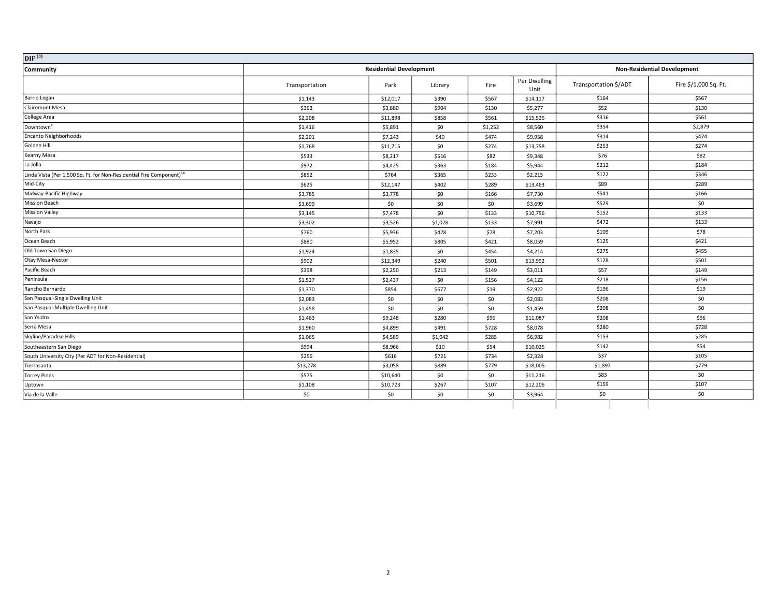| DIF <sup>(3)</sup>                                                                |                                                                      |          |         |         |                      |                       |                       |
|-----------------------------------------------------------------------------------|----------------------------------------------------------------------|----------|---------|---------|----------------------|-----------------------|-----------------------|
| Community                                                                         | <b>Residential Development</b><br><b>Non-Residential Development</b> |          |         |         |                      |                       |                       |
|                                                                                   | Transportation                                                       | Park     | Library | Fire    | Per Dwelling<br>Unit | Transportation \$/ADT | Fire \$/1,000 Sq. Ft. |
| Barrio Logan                                                                      | \$1,143                                                              | \$12,017 | \$390   | \$567   | \$14,117             | \$164                 | \$567                 |
| <b>Clairemont Mesa</b>                                                            | \$362                                                                | \$3,880  | \$904   | \$130   | \$5,277              | \$52                  | \$130                 |
| College Area                                                                      | \$2,208                                                              | \$11,898 | \$858   | \$561   | \$15,526             | \$316                 | \$561                 |
| Downtown <sup>4</sup>                                                             | \$1,416                                                              | \$5,891  | \$0     | \$1,252 | \$8,560              | \$354                 | \$2,879               |
| Encanto Neighborhoods                                                             | \$2,201                                                              | \$7,243  | \$40    | \$474   | \$9,958              | \$314                 | \$474                 |
| Golden Hill                                                                       | \$1,768                                                              | \$11,715 | \$0     | \$274   | \$13,758             | \$253                 | \$274                 |
| Kearny Mesa                                                                       | \$533                                                                | \$8,217  | \$516   | \$82    | \$9,348              | \$76                  | \$82                  |
| La Jolla                                                                          | \$972                                                                | \$4,425  | \$363   | \$184   | \$5,944              | \$212                 | \$184                 |
| Linda Vista (Per 1,500 Sq. Ft. for Non-Residential Fire Component) <sup>5,6</sup> | \$852                                                                | \$764    | \$365   | \$233   | \$2,215              | \$122                 | \$346                 |
| Mid-City                                                                          | \$625                                                                | \$12,147 | \$402   | \$289   | \$13,463             | \$89                  | \$289                 |
| Midway-Pacific Highway                                                            | \$3,785                                                              | \$3,778  | \$0     | \$166   | \$7,730              | \$541                 | \$166                 |
| <b>Mission Beach</b>                                                              | \$3,699                                                              | \$0      | \$0     | \$0     | \$3,699              | \$529                 | \$0                   |
| <b>Mission Valley</b>                                                             | \$3,145                                                              | \$7,478  | \$0     | \$133   | \$10,756             | \$152                 | \$133                 |
| Navajo                                                                            | \$3,302                                                              | \$3,526  | \$1,028 | \$133   | \$7,991              | \$472                 | \$133                 |
| North Park                                                                        | \$760                                                                | \$5,936  | \$428   | \$78    | \$7,203              | \$109                 | \$78                  |
| Ocean Beach                                                                       | \$880                                                                | \$5,952  | \$805   | \$421   | \$8,059              | \$125                 | \$421                 |
| Old Town San Diego                                                                | \$1,924                                                              | \$1,835  | \$0     | \$454   | \$4,214              | \$275                 | \$455                 |
| Otay Mesa-Nestor                                                                  | \$902                                                                | \$12,349 | \$240   | \$501   | \$13,992             | \$128                 | \$501                 |
| Pacific Beach                                                                     | \$398                                                                | \$2,250  | \$213   | \$149   | \$3,011              | \$57                  | \$149                 |
| Peninsula                                                                         | \$1,527                                                              | \$2,437  | \$0     | \$156   | \$4,122              | \$218                 | \$156                 |
| Rancho Bernardo                                                                   | \$1,370                                                              | \$854    | \$677   | \$19    | \$2,922              | \$196                 | \$19                  |
| San Pasqual-Single Dwelling Unit                                                  | \$2,083                                                              | \$0      | \$0     | \$0     | \$2,083              | \$208                 | \$0                   |
| San Pasqual-Multiple Dwelling Unit                                                | \$1,458                                                              | \$0      | \$0     | \$0     | \$1,459              | \$208                 | \$0                   |
| San Ysidro                                                                        | \$1,463                                                              | \$9,248  | \$280   | \$96    | \$11,087             | \$208                 | \$96                  |
| Serra Mesa                                                                        | \$1,960                                                              | \$4,899  | \$491   | \$728   | \$8,078              | \$280                 | \$728                 |
| Skyline/Paradise Hills                                                            | \$1,065                                                              | \$4,589  | \$1,042 | \$285   | \$6,982              | \$153                 | \$285                 |
| Southeastern San Diego                                                            | \$994                                                                | \$8,966  | \$10    | \$54    | \$10,025             | \$142                 | \$54                  |
| South University City (Per ADT for Non-Residential)                               | \$256                                                                | \$616    | \$721   | \$734   | \$2,328              | \$37                  | \$105                 |
| Tierrasanta                                                                       | \$13,278                                                             | \$3,058  | \$889   | \$779   | \$18,005             | \$1,897               | \$779                 |
| <b>Torrey Pines</b>                                                               | \$575                                                                | \$10,640 | \$0     | \$0     | \$11,216             | \$83                  | \$0                   |
| Uptown                                                                            | \$1,108                                                              | \$10,723 | \$267   | \$107   | \$12,206             | \$159                 | \$107                 |
| Via de la Valle                                                                   | \$0                                                                  | \$0      | \$0     | \$0     | \$3,964              | \$0                   | \$0                   |
|                                                                                   |                                                                      |          |         |         |                      |                       |                       |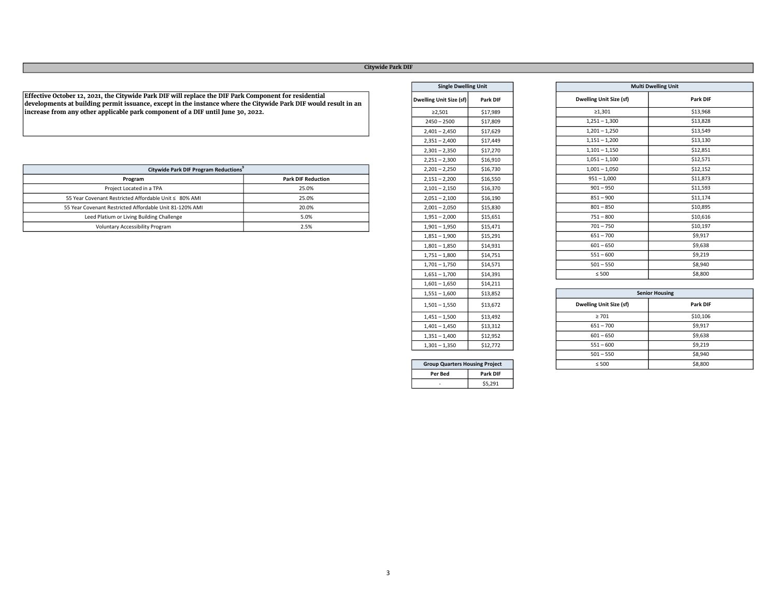# Citywide Park DIF

Effective October 12, 2021, the Citywide Park DIF will replace the DIF Park Component for residential developments at building permit issuance, except in the instance where the Citywide Park DIF would result in an increase from any other applicable park component of a DIF until June 30, 2022.

| Citywide Park DIF Program Reductions                    |                           | $2,201 - 2,250$ | \$16,730 |
|---------------------------------------------------------|---------------------------|-----------------|----------|
| Program                                                 | <b>Park DIF Reduction</b> | $2,151 - 2,200$ | \$16,550 |
| Project Located in a TPA                                | 25.0%                     | $2,101 - 2,150$ | \$16,370 |
| 55 Year Covenant Restricted Affordable Unit ≤ 80% AMI   | 25.0%                     | $2,051 - 2,100$ | \$16,190 |
| 55 Year Covenant Restricted Affordable Unit 81-120% AMI | 20.0%                     | $2,001 - 2,050$ | \$15,830 |
| Leed Platium or Living Building Challenge               | 5.0%                      | $1,951 - 2,000$ | \$15,651 |
| Voluntary Accessibility Program                         | 2.5%                      | $1,901 - 1,950$ | \$15,471 |

| <b>Single Dwelling Unit</b>           |          |  |  |  |
|---------------------------------------|----------|--|--|--|
| <b>Dwelling Unit Size (sf)</b>        | Park DIF |  |  |  |
| ≥2,501                                | \$17,989 |  |  |  |
| $2450 - 2500$                         | \$17,809 |  |  |  |
| $2,401 - 2,450$                       | \$17,629 |  |  |  |
| $2,351 - 2,400$                       | \$17,449 |  |  |  |
| $2,301 - 2,350$                       | \$17,270 |  |  |  |
| $2,251 - 2,300$                       | \$16,910 |  |  |  |
| $2,201 - 2,250$                       | \$16,730 |  |  |  |
| $2,151 - 2,200$                       | \$16,550 |  |  |  |
| $2,101 - 2,150$                       | \$16,370 |  |  |  |
| $2,051 - 2,100$                       | \$16,190 |  |  |  |
| $2,001 - 2,050$                       | \$15,830 |  |  |  |
| $1,951 - 2,000$                       | \$15,651 |  |  |  |
| $1,901 - 1,950$                       | \$15,471 |  |  |  |
| $1,851 - 1,900$                       | \$15,291 |  |  |  |
| $1,801 - 1,850$                       | \$14,931 |  |  |  |
| $1,751 - 1,800$                       | \$14,751 |  |  |  |
| $1,701 - 1,750$                       | \$14,571 |  |  |  |
| $1,651 - 1,700$                       | \$14,391 |  |  |  |
| $1,601 - 1,650$                       | \$14,211 |  |  |  |
| $1,551 - 1,600$                       | \$13,852 |  |  |  |
| $1,501 - 1,550$                       | \$13,672 |  |  |  |
| $1,451 - 1,500$                       | \$13,492 |  |  |  |
| $1,401 - 1,450$                       | \$13,312 |  |  |  |
| $1,351 - 1,400$                       | \$12,952 |  |  |  |
| $1,301 - 1,350$                       | \$12,772 |  |  |  |
|                                       |          |  |  |  |
| <b>Group Quarters Housing Project</b> |          |  |  |  |

Per Bed Park DIF  $-$  \$5,291

| <b>Multi Dwelling Unit</b>     |          |  |
|--------------------------------|----------|--|
| <b>Dwelling Unit Size (sf)</b> | Park DIF |  |
| $\geq 1,301$                   | \$13,968 |  |
| $1,251 - 1,300$                | \$13,828 |  |
| $1,201 - 1,250$                | \$13,549 |  |
| $1,151 - 1,200$                | \$13,130 |  |
| $1,101 - 1,150$                | \$12,851 |  |
| $1,051 - 1,100$                | \$12,571 |  |
| $1,001 - 1,050$                | \$12,152 |  |
| $951 - 1,000$                  | \$11,873 |  |
| $901 - 950$                    | \$11,593 |  |
| $851 - 900$                    | \$11,174 |  |
| $801 - 850$                    | \$10,895 |  |
| $751 - 800$                    | \$10,616 |  |
| $701 - 750$                    | \$10,197 |  |
| $651 - 700$                    | \$9,917  |  |
| $601 - 650$                    | \$9,638  |  |
| $551 - 600$                    | \$9,219  |  |
| $501 - 550$                    | \$8,940  |  |
| $\leq 500$                     | \$8,800  |  |

| <b>Senior Housing</b>               |          |  |
|-------------------------------------|----------|--|
| Dwelling Unit Size (sf)<br>Park DIF |          |  |
| $\geq 701$                          | \$10,106 |  |
| $651 - 700$                         | \$9,917  |  |
| $601 - 650$                         | \$9,638  |  |
| $551 - 600$                         | \$9,219  |  |
| $501 - 550$                         | \$8,940  |  |
| $\leq 500$                          | \$8,800  |  |

| ×<br>i<br>×<br>۰. |  |
|-------------------|--|